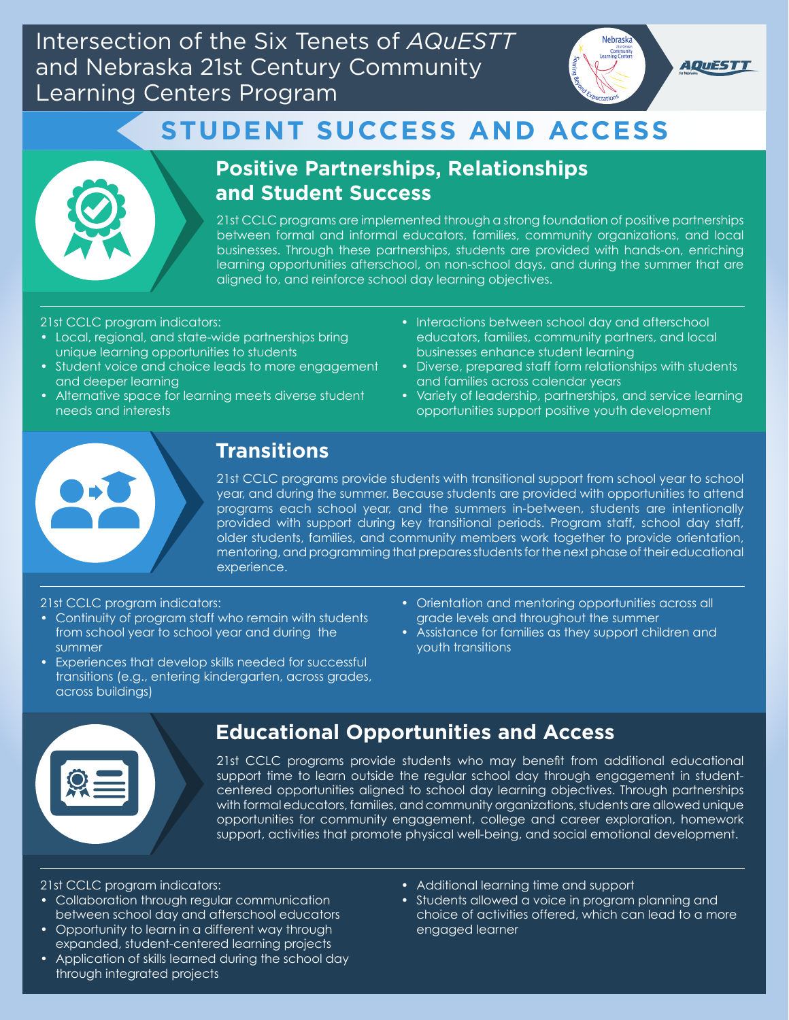Intersection of the Six Tenets of *AQuESTT* and Nebraska 21st Century Community Learning Centers Program



## **STUDENT SUCCESS AND ACCESS**



## **Positive Partnerships, Relationships and Student Success**

21st CCLC programs are implemented through a strong foundation of positive partnerships between formal and informal educators, families, community organizations, and local businesses. Through these partnerships, students are provided with hands-on, enriching learning opportunities afterschool, on non-school days, and during the summer that are aligned to, and reinforce school day learning objectives.

#### 21st CCLC program indicators:

- Local, regional, and state-wide partnerships bring unique learning opportunities to students
- Student voice and choice leads to more engagement and deeper learning
- Alternative space for learning meets diverse student needs and interests
- Interactions between school day and afterschool educators, families, community partners, and local businesses enhance student learning
- Diverse, prepared staff form relationships with students and families across calendar years
- Variety of leadership, partnerships, and service learning opportunities support positive youth development



## **Transitions**

21st CCLC programs provide students with transitional support from school year to school year, and during the summer. Because students are provided with opportunities to attend programs each school year, and the summers in-between, students are intentionally provided with support during key transitional periods. Program staff, school day staff, older students, families, and community members work together to provide orientation, mentoring, and programming that prepares students for the next phase of their educational experience.

#### 21st CCLC program indicators:

- Continuity of program staff who remain with students from school year to school year and during the summer
- Experiences that develop skills needed for successful transitions (e.g., entering kindergarten, across grades, across buildings)
- Orientation and mentoring opportunities across all grade levels and throughout the summer
- Assistance for families as they support children and youth transitions



## **Educational Opportunities and Access**

21st CCLC programs provide students who may benefit from additional educational support time to learn outside the regular school day through engagement in studentcentered opportunities aligned to school day learning objectives. Through partnerships with formal educators, families, and community organizations, students are allowed unique opportunities for community engagement, college and career exploration, homework support, activities that promote physical well-being, and social emotional development.

#### 21st CCLC program indicators:

- Collaboration through regular communication between school day and afterschool educators
- Opportunity to learn in a different way through expanded, student-centered learning projects
- Application of skills learned during the school day through integrated projects
- Additional learning time and support
- Students allowed a voice in program planning and choice of activities offered, which can lead to a more engaged learner